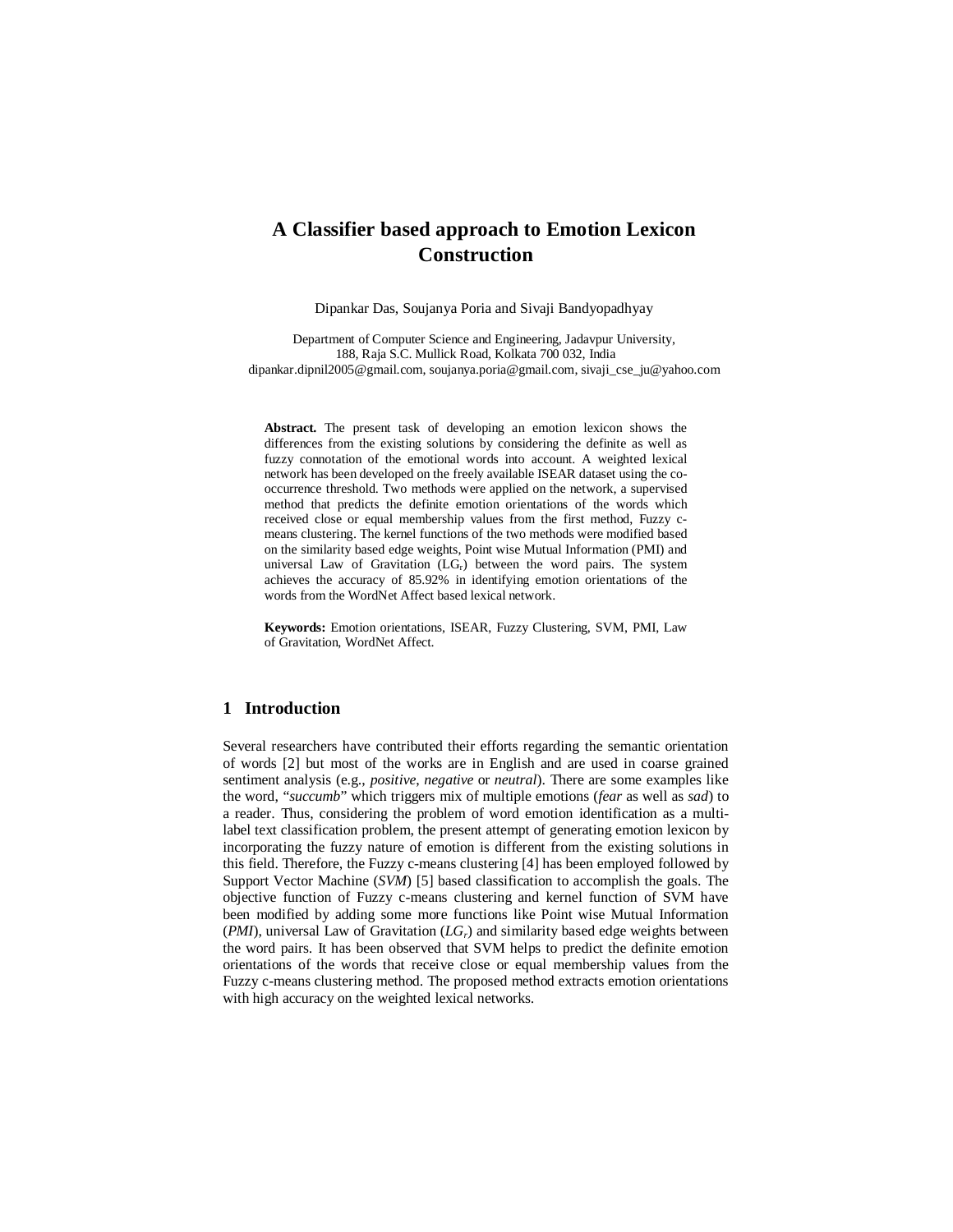# **A Classifier based approach to Emotion Lexicon Construction**

Dipankar Das, Soujanya Poria and Sivaji Bandyopadhyay

Department of Computer Science and Engineering, Jadavpur University, 188, Raja S.C. Mullick Road, Kolkata 700 032, India dipankar.dipnil2005@gmail.com, soujanya.poria@gmail.com, sivaji\_cse\_ju@yahoo.com

**Abstract.** The present task of developing an emotion lexicon shows the differences from the existing solutions by considering the definite as well as fuzzy connotation of the emotional words into account. A weighted lexical network has been developed on the freely available ISEAR dataset using the cooccurrence threshold. Two methods were applied on the network, a supervised method that predicts the definite emotion orientations of the words which received close or equal membership values from the first method, Fuzzy cmeans clustering. The kernel functions of the two methods were modified based on the similarity based edge weights, Point wise Mutual Information (PMI) and universal Law of Gravitation  $(LG_r)$  between the word pairs. The system achieves the accuracy of 85.92% in identifying emotion orientations of the words from the WordNet Affect based lexical network.

**Keywords:** Emotion orientations, ISEAR, Fuzzy Clustering, SVM, PMI, Law of Gravitation, WordNet Affect.

## **1 Introduction**

Several researchers have contributed their efforts regarding the semantic orientation of words [2] but most of the works are in English and are used in coarse grained sentiment analysis (e.g., *positive*, *negative* or *neutral*). There are some examples like the word, "*succumb*" which triggers mix of multiple emotions (*fear* as well as *sad*) to a reader. Thus, considering the problem of word emotion identification as a multilabel text classification problem, the present attempt of generating emotion lexicon by incorporating the fuzzy nature of emotion is different from the existing solutions in this field. Therefore, the Fuzzy c-means clustering [4] has been employed followed by Support Vector Machine (*SVM*) [5] based classification to accomplish the goals. The objective function of Fuzzy c-means clustering and kernel function of SVM have been modified by adding some more functions like Point wise Mutual Information (*PMI*), universal Law of Gravitation (*LGr*) and similarity based edge weights between the word pairs. It has been observed that SVM helps to predict the definite emotion orientations of the words that receive close or equal membership values from the Fuzzy c-means clustering method. The proposed method extracts emotion orientations with high accuracy on the weighted lexical networks.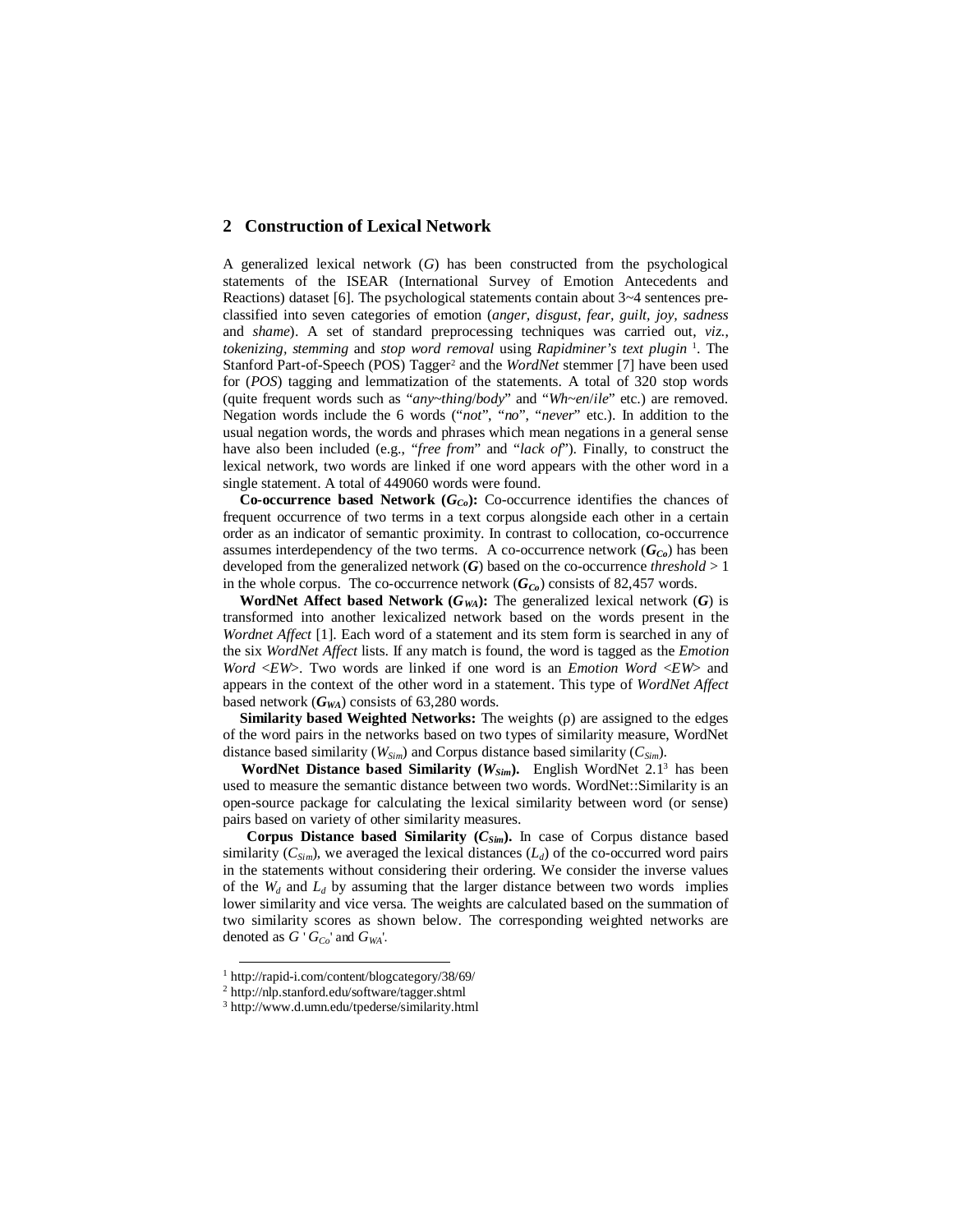## **2 Construction of Lexical Network**

A generalized lexical network (*G*) has been constructed from the psychological statements of the ISEAR (International Survey of Emotion Antecedents and Reactions) dataset [6]. The psychological statements contain about  $3\nu$ -4 sentences preclassified into seven categories of emotion (*anger, disgust, fear, guilt, joy, sadness* and *shame*). A set of standard preprocessing techniques was carried out, *viz.*, *tokenizing, stemming* and *stop word removal* using *Rapidminer's text plugin* <sup>1</sup> . The Stanford Part-of-Speech (POS) Tagger<sup>2</sup> and the *WordNet* stemmer [7] have been used for (*POS*) tagging and lemmatization of the statements. A total of 320 stop words (quite frequent words such as "*any*~*thing*/*body*" and "*Wh*~*en*/*ile*" etc.) are removed. Negation words include the 6 words ("*not*", "*no*", "*never*" etc.). In addition to the usual negation words, the words and phrases which mean negations in a general sense have also been included (e.g., "*free from*" and "*lack of*"). Finally, to construct the lexical network, two words are linked if one word appears with the other word in a single statement. A total of 449060 words were found.

**Co-occurrence based Network**  $(G<sub>C0</sub>)$ **:** Co-occurrence identifies the chances of frequent occurrence of two terms in a text corpus alongside each other in a certain order as an indicator of semantic proximity. In contrast to collocation, co-occurrence assumes interdependency of the two terms. A co-occurrence network  $(G_{C_0})$  has been developed from the generalized network (*G*) based on the co-occurrence *threshold* > 1 in the whole corpus. The co-occurrence network  $(G_{C_0})$  consists of 82,457 words.

**WordNet Affect based Network**  $(G_{WA})$ **:** The generalized lexical network  $(G)$  is transformed into another lexicalized network based on the words present in the *Wordnet Affect* [1]. Each word of a statement and its stem form is searched in any of the six *WordNet Affect* lists. If any match is found, the word is tagged as the *Emotion Word* <*EW*>. Two words are linked if one word is an *Emotion Word* <*EW*> and appears in the context of the other word in a statement. This type of *WordNet Affect* based network  $(G_{WA})$  consists of 63,280 words.

**Similarity based Weighted Networks:** The weights (ρ) are assigned to the edges of the word pairs in the networks based on two types of similarity measure, WordNet distance based similarity (*WSim*) and Corpus distance based similarity (*CSim*).

 **WordNet Distance based Similarity (***WSim***).** English WordNet 2.1<sup>3</sup> has been used to measure the semantic distance between two words. WordNet::Similarity is an open-source package for calculating the lexical similarity between word (or sense) pairs based on variety of other similarity measures.

**Corpus Distance based Similarity**  $(C_{Sim})$ **.** In case of Corpus distance based similarity  $(C_{Sim})$ , we averaged the lexical distances  $(L_d)$  of the co-occurred word pairs in the statements without considering their ordering. We consider the inverse values of the  $W_d$  and  $L_d$  by assuming that the larger distance between two words implies lower similarity and vice versa. The weights are calculated based on the summation of two similarity scores as shown below. The corresponding weighted networks are denoted as *G* ' *GCo*' and *GWA*'.

 $\overline{a}$ 

<sup>1</sup> http://rapid-i.com/content/blogcategory/38/69/

<sup>2</sup> http://nlp.stanford.edu/software/tagger.shtml

<sup>3</sup> http://www.d.umn.edu/tpederse/similarity.html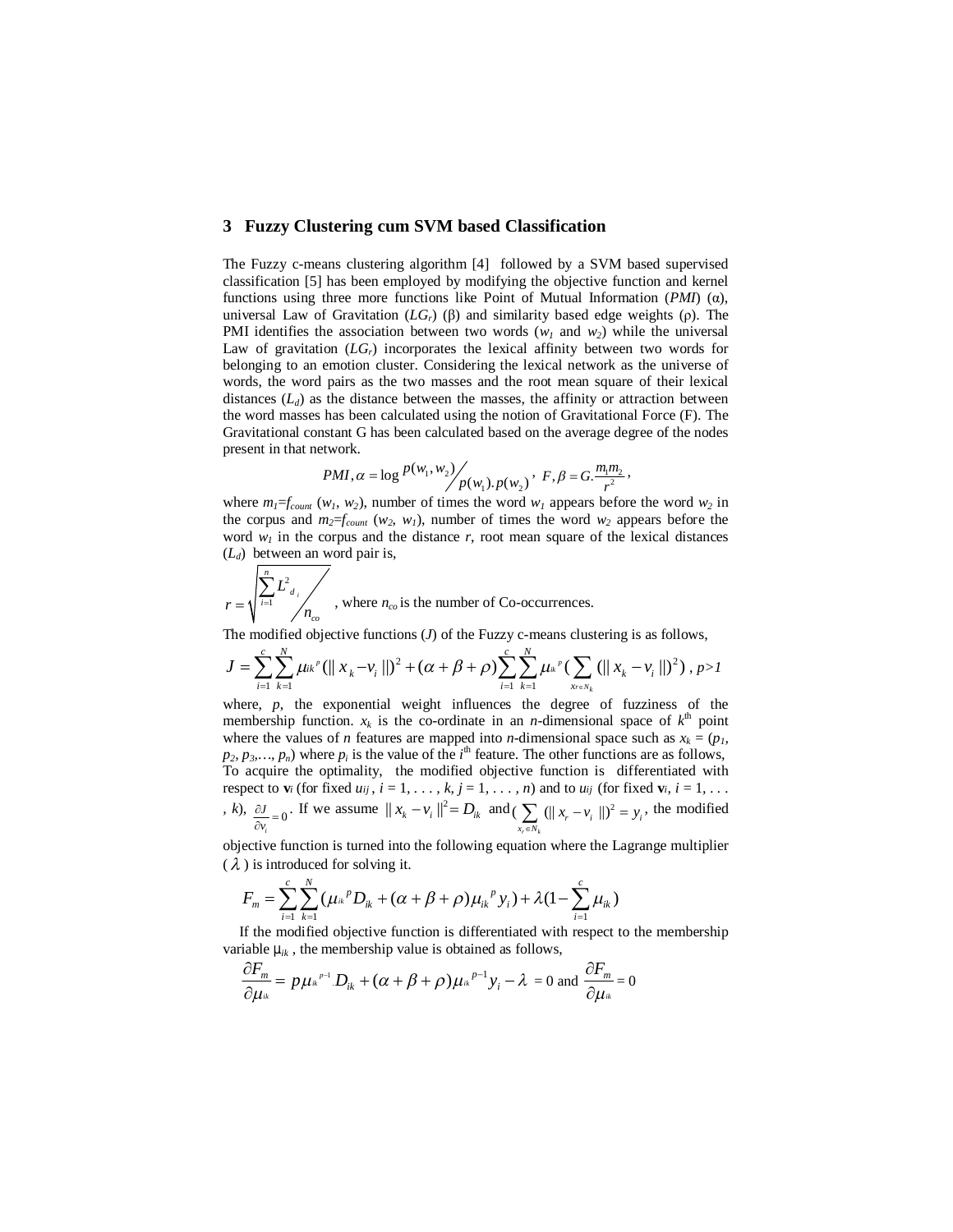### **3 Fuzzy Clustering cum SVM based Classification**

The Fuzzy c-means clustering algorithm [4] followed by a SVM based supervised classification [5] has been employed by modifying the objective function and kernel functions using three more functions like Point of Mutual Information (*PMI*) (α), universal Law of Gravitation  $(LG<sub>r</sub>)$  (β) and similarity based edge weights (ρ). The PMI identifies the association between two words  $(w<sub>1</sub>$  and  $w<sub>2</sub>)$  while the universal Law of gravitation  $(LG_r)$  incorporates the lexical affinity between two words for belonging to an emotion cluster. Considering the lexical network as the universe of words, the word pairs as the two masses and the root mean square of their lexical distances  $(L_d)$  as the distance between the masses, the affinity or attraction between the word masses has been calculated using the notion of Gravitational Force (F). The Gravitational constant G has been calculated based on the average degree of the nodes present in that network.

$$
PMI, \alpha = \log \frac{p(w_1, w_2)}{p(w_1), p(w_2)}, F, \beta = G. \frac{m_1 m_2}{r^2},
$$

where  $m_1 = f_{count}(w_1, w_2)$ , number of times the word  $w_1$  appears before the word  $w_2$  in the corpus and  $m_2 = f_{count}(w_2, w_1)$ , number of times the word  $w_2$  appears before the word  $w_l$  in the corpus and the distance  $r$ , root mean square of the lexical distances (*Ld*) between an word pair is,

$$
r = \sqrt{\sum_{i=1}^{n} \frac{L^2}{n_{co}}}
$$
, where  $n_{co}$  is the number of Co-occurrences.

The modified objective functions (*J*) of the Fuzzy c-means clustering is as follows,

$$
J = \sum_{i=1}^{c} \sum_{k=1}^{N} \mu_{ik}^{p} (||x_{k} - v_{i}||)^{2} + (\alpha + \beta + \rho) \sum_{i=1}^{c} \sum_{k=1}^{N} \mu_{ik}^{p} (||x_{k} - v_{i}||)^{2}), p > I
$$

where, *p*, the exponential weight influences the degree of fuzziness of the membership function.  $x_k$  is the co-ordinate in an *n*-dimensional space of  $k^{\text{th}}$  point where the values of *n* features are mapped into *n*-dimensional space such as  $x_k = (p_i, p_j)$  $p_2, p_3, \ldots, p_n$ ) where  $p_i$  is the value of the *i*<sup>th</sup> feature. The other functions are as follows, To acquire the optimality, the modified objective function is differentiated with respect to  $\mathbf{v}_i$  (for fixed  $u_{ij}$ ,  $i = 1, \ldots, k, j = 1, \ldots, n$ ) and to  $u_{ij}$  (for fixed  $\mathbf{v}_i$ ,  $i = 1, \ldots$ *, k*),  $\frac{\partial J}{\partial v_i} = 0$ *J v*  $\frac{\partial J}{\partial v_i} =$ . If we assume  $||x_k - v_i||^2 = D_{ik}$  and  $(\sum_{k} (||x_k - v_k||)^2$  $\sum_{x_r \in N_k}$   $\langle \cdots | x_r \cdots v_i \cdots | y_r \cdots y_i \rangle$  $(x_r - v_i ||)^2 = y_i$  $\sum_{r \in N_k} (||x_r - v_i||)^2 = y_i$ , the modified

objective function is turned into the following equation where the Lagrange multiplier  $(\lambda)$  is introduced for solving it.

$$
F_m = \sum_{i=1}^{c} \sum_{k=1}^{N} (\mu_{ik}^{p} D_{ik} + (\alpha + \beta + \rho) \mu_{ik}^{p} y_i) + \lambda (1 - \sum_{i=1}^{c} \mu_{ik})
$$

If the modified objective function is differentiated with respect to the membership variable  $\mu_{ik}$ , the membership value is obtained as follows,

$$
\frac{\partial F_m}{\partial \mu_{ik}} = p \mu_{ik}^{p-1} D_{ik} + (\alpha + \beta + \rho) \mu_{ik}^{p-1} y_i - \lambda = 0 \text{ and } \frac{\partial F_m}{\partial \mu_{ik}} = 0
$$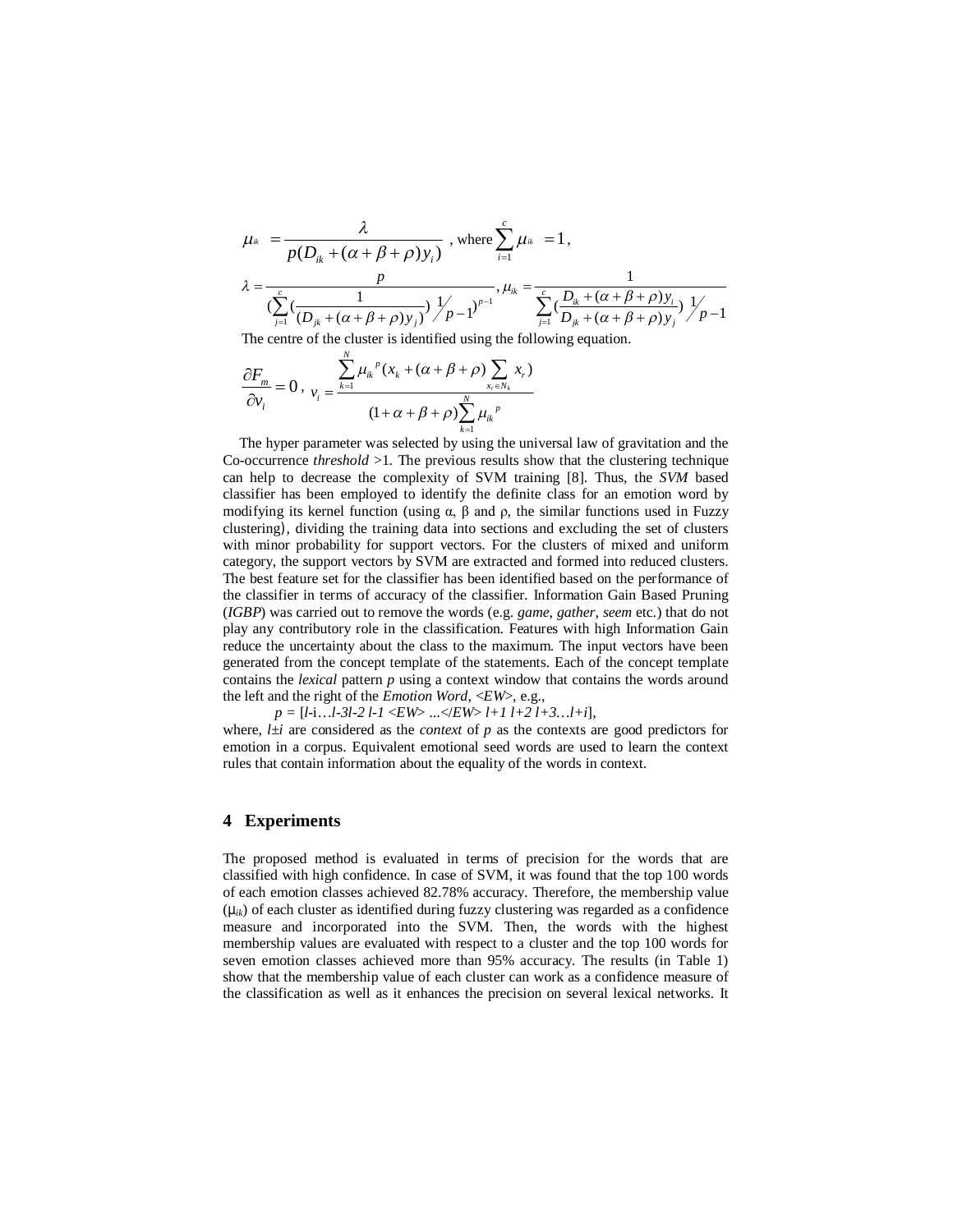$$
\mu_{ik} = \frac{\lambda}{p(D_{ik} + (\alpha + \beta + \rho)y_i)}, \text{ where } \sum_{i=1}^{c} \mu_{ik} = 1,
$$
\n
$$
\lambda = \frac{p}{(\sum_{j=1}^{c} (\frac{1}{(D_{jk} + (\alpha + \beta + \rho)y_j)})^2 / p - 1)^{p-1}}, \mu_{ik} = \frac{1}{\sum_{j=1}^{c} (\frac{D_{ik} + (\alpha + \beta + \rho)y_i}{D_{jk} + (\alpha + \beta + \rho)y_j})^2 / p - 1}
$$

The centre of the cluster is identified using the following equation.

$$
\frac{\partial F_m}{\partial v_i} = 0, \ v_i = \frac{\sum_{k=1}^N \mu_{ik}^{p}(x_k + (\alpha + \beta + \rho) \sum_{x_r \in N_k} x_r)}{(1 + \alpha + \beta + \rho) \sum_{k=1}^N \mu_{ik}^{p}}
$$

The hyper parameter was selected by using the universal law of gravitation and the Co-occurrence *threshold* >1. The previous results show that the clustering technique can help to decrease the complexity of SVM training [8]. Thus, the *SVM* based classifier has been employed to identify the definite class for an emotion word by modifying its kernel function (using  $α$ ,  $β$  and  $ρ$ , the similar functions used in Fuzzy clustering), dividing the training data into sections and excluding the set of clusters with minor probability for support vectors. For the clusters of mixed and uniform category, the support vectors by SVM are extracted and formed into reduced clusters. The best feature set for the classifier has been identified based on the performance of the classifier in terms of accuracy of the classifier. Information Gain Based Pruning (*IGBP*) was carried out to remove the words (e.g. *game*, *gather*, *seem* etc.) that do not play any contributory role in the classification. Features with high Information Gain reduce the uncertainty about the class to the maximum. The input vectors have been generated from the concept template of the statements. Each of the concept template contains the *lexical* pattern *p* using a context window that contains the words around the left and the right of the *Emotion Word*, <*EW*>, e.g.,

*p =* [*l*-i…*l-3l-2 l-1* <*EW*> ...</*EW*> *l+1 l+2 l+3…l+i*], where,  $l\pm i$  are considered as the *context* of  $p$  as the contexts are good predictors for emotion in a corpus. Equivalent emotional seed words are used to learn the context rules that contain information about the equality of the words in context.

### **4 Experiments**

The proposed method is evaluated in terms of precision for the words that are classified with high confidence. In case of SVM, it was found that the top 100 words of each emotion classes achieved 82.78% accuracy. Therefore, the membership value  $(\mu_{ik})$  of each cluster as identified during fuzzy clustering was regarded as a confidence measure and incorporated into the SVM. Then, the words with the highest membership values are evaluated with respect to a cluster and the top 100 words for seven emotion classes achieved more than 95% accuracy. The results (in Table 1) show that the membership value of each cluster can work as a confidence measure of the classification as well as it enhances the precision on several lexical networks. It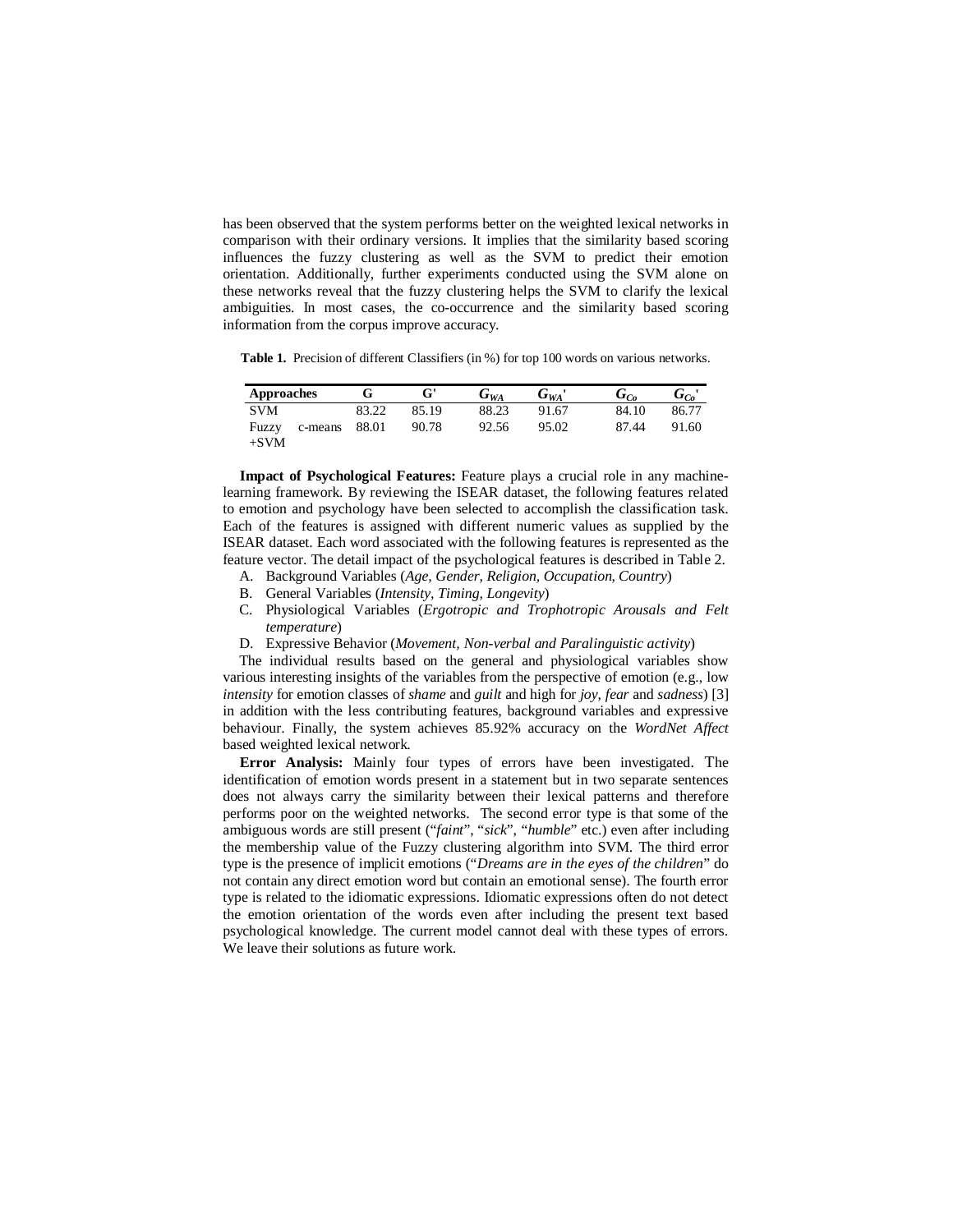has been observed that the system performs better on the weighted lexical networks in comparison with their ordinary versions. It implies that the similarity based scoring influences the fuzzy clustering as well as the SVM to predict their emotion orientation. Additionally, further experiments conducted using the SVM alone on these networks reveal that the fuzzy clustering helps the SVM to clarify the lexical ambiguities. In most cases, the co-occurrence and the similarity based scoring information from the corpus improve accuracy.

**Table 1.** Precision of different Classifiers (in %) for top 100 words on various networks.

| <b>Approaches</b> |         |       |       | $G_{WA}$ | $G_{WA}$ | Gco   | $G_{Co}$ |
|-------------------|---------|-------|-------|----------|----------|-------|----------|
| <b>SVM</b>        |         | 83.22 | 85.19 | 88.23    | 91.67    | 84.10 | 86.77    |
| Fuzzy<br>$+SVM$   | c-means | 88.01 | 90.78 | 92.56    | 95.02    | 87.44 | 91.60    |

**Impact of Psychological Features:** Feature plays a crucial role in any machinelearning framework. By reviewing the ISEAR dataset, the following features related to emotion and psychology have been selected to accomplish the classification task. Each of the features is assigned with different numeric values as supplied by the ISEAR dataset. Each word associated with the following features is represented as the feature vector. The detail impact of the psychological features is described in Table 2.

- A. Background Variables (*Age, Gender, Religion, Occupation, Country*)
- B. General Variables (*Intensity, Timing, Longevity*)
- C. Physiological Variables (*Ergotropic and Trophotropic Arousals and Felt temperature*)
- D. Expressive Behavior (*Movement, Non-verbal and Paralinguistic activity*)

The individual results based on the general and physiological variables show various interesting insights of the variables from the perspective of emotion (e.g., low *intensity* for emotion classes of *shame* and *guilt* and high for *joy*, *fear* and *sadness*) [3] in addition with the less contributing features, background variables and expressive behaviour. Finally, the system achieves 85.92% accuracy on the *WordNet Affect* based weighted lexical network.

**Error Analysis:** Mainly four types of errors have been investigated. The identification of emotion words present in a statement but in two separate sentences does not always carry the similarity between their lexical patterns and therefore performs poor on the weighted networks. The second error type is that some of the ambiguous words are still present ("*faint*", "*sick*", "*humble*" etc.) even after including the membership value of the Fuzzy clustering algorithm into SVM. The third error type is the presence of implicit emotions ("*Dreams are in the eyes of the children*" do not contain any direct emotion word but contain an emotional sense). The fourth error type is related to the idiomatic expressions. Idiomatic expressions often do not detect the emotion orientation of the words even after including the present text based psychological knowledge. The current model cannot deal with these types of errors. We leave their solutions as future work.